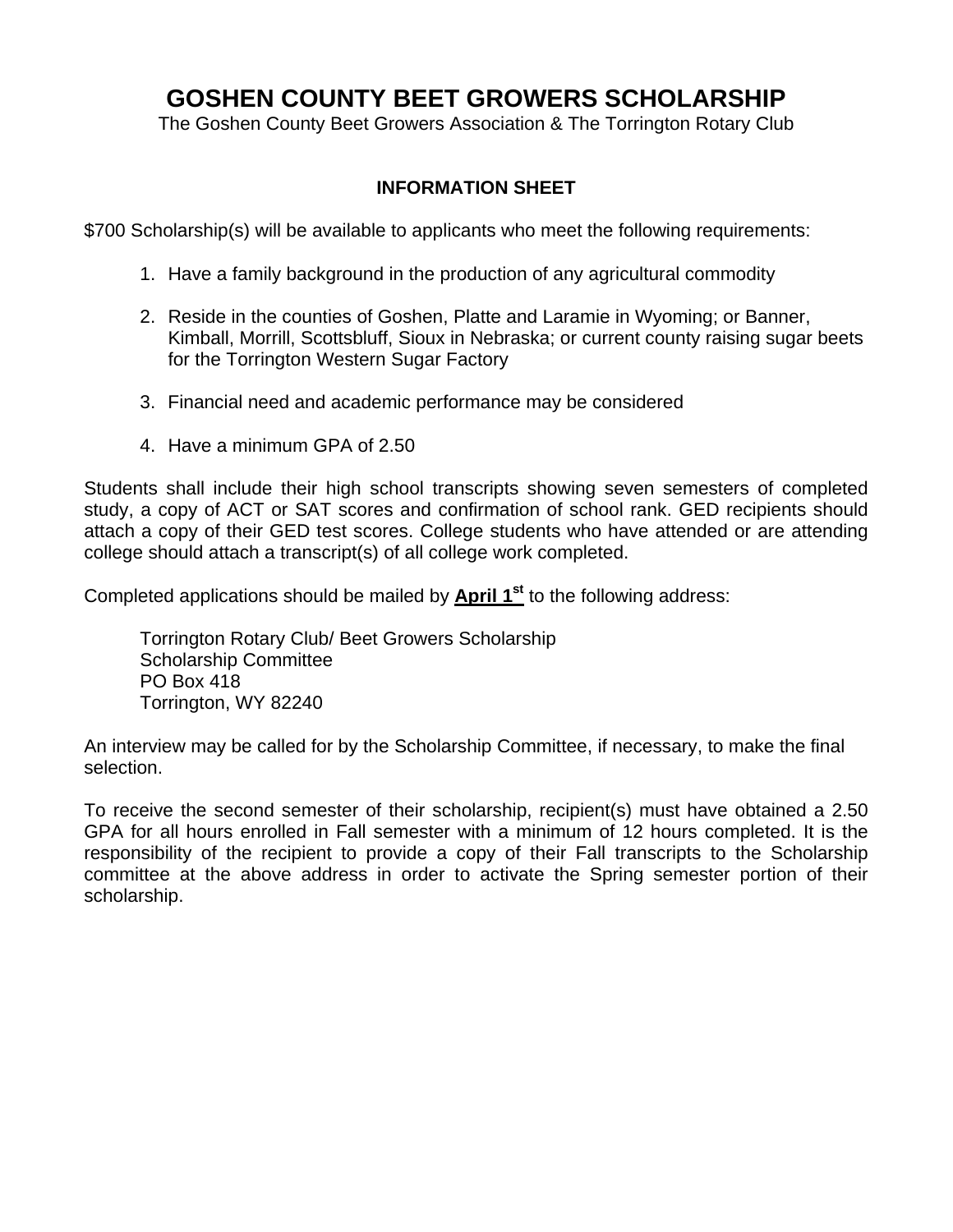# **GOSHEN COUNTY BEET GROWERS SCHOLARSHIP**

The Goshen County Beet Growers Association & The Torrington Rotary Club

#### **INFORMATION SHEET**

\$700 Scholarship(s) will be available to applicants who meet the following requirements:

- 1. Have a family background in the production of any agricultural commodity
- 2. Reside in the counties of Goshen, Platte and Laramie in Wyoming; or Banner, Kimball, Morrill, Scottsbluff, Sioux in Nebraska; or current county raising sugar beets for the Torrington Western Sugar Factory
- 3. Financial need and academic performance may be considered
- 4. Have a minimum GPA of 2.50

Students shall include their high school transcripts showing seven semesters of completed study, a copy of ACT or SAT scores and confirmation of school rank. GED recipients should attach a copy of their GED test scores. College students who have attended or are attending college should attach a transcript(s) of all college work completed.

Completed applications should be mailed by **April 1<sup>st</sup>** to the following address:

 Torrington Rotary Club/ Beet Growers Scholarship Scholarship Committee PO Box 418 Torrington, WY 82240

An interview may be called for by the Scholarship Committee, if necessary, to make the final selection.

To receive the second semester of their scholarship, recipient(s) must have obtained a 2.50 GPA for all hours enrolled in Fall semester with a minimum of 12 hours completed. It is the responsibility of the recipient to provide a copy of their Fall transcripts to the Scholarship committee at the above address in order to activate the Spring semester portion of their scholarship.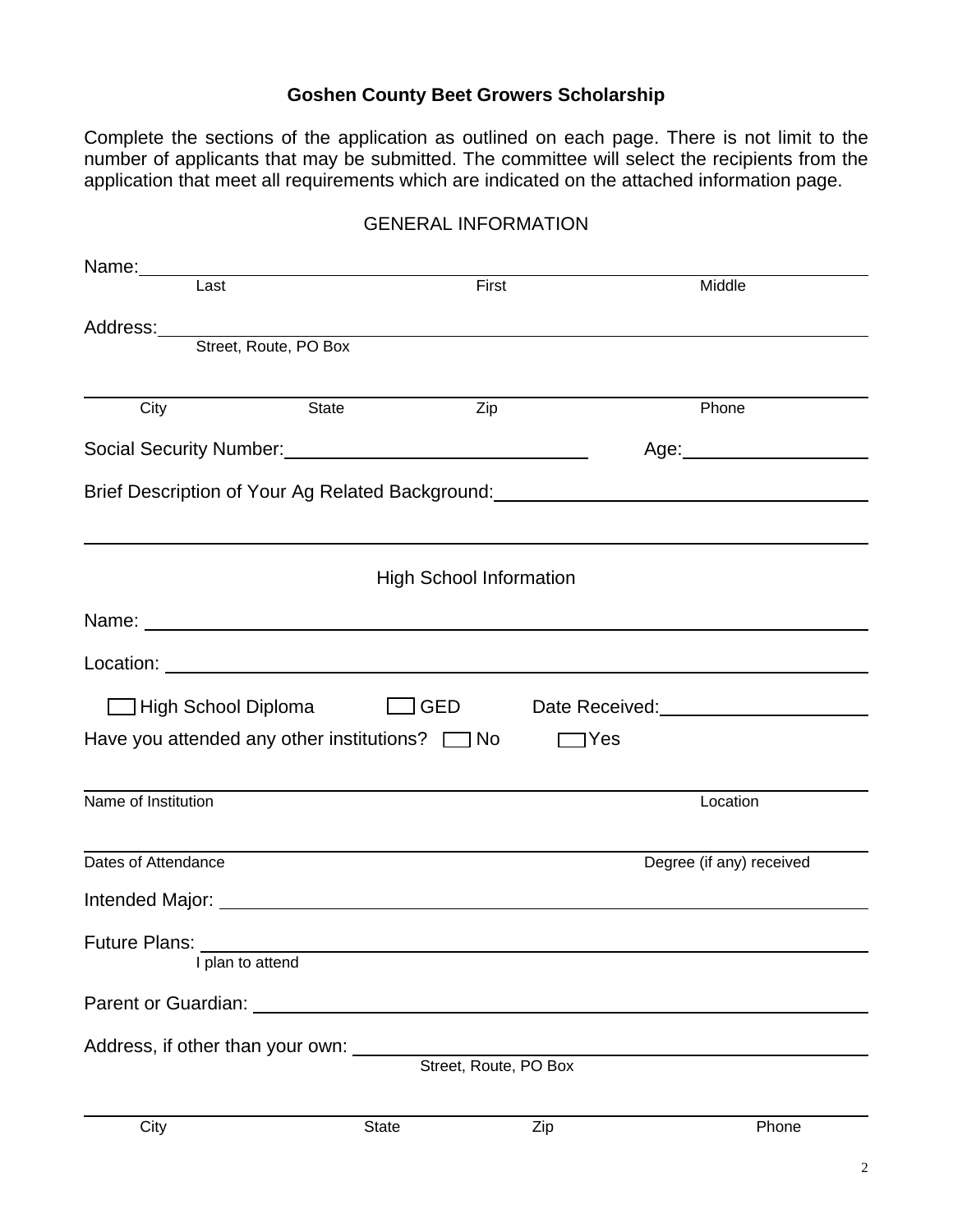### **Goshen County Beet Growers Scholarship**

Complete the sections of the application as outlined on each page. There is not limit to the number of applicants that may be submitted. The committee will select the recipients from the application that meet all requirements which are indicated on the attached information page.

|                                  | Name: Last                                                 | First                          | Middle                                                                                                                                                                                                                              |
|----------------------------------|------------------------------------------------------------|--------------------------------|-------------------------------------------------------------------------------------------------------------------------------------------------------------------------------------------------------------------------------------|
|                                  |                                                            |                                | Address: <u>Address:</u> Address: Address: Address: Address: Address: Address: Address: Address: Address: Address: Address: Address: Address: Address: Address: Address: Address: Address: Address: Address: Address: Address: Addr |
|                                  | Street, Route, PO Box                                      |                                |                                                                                                                                                                                                                                     |
|                                  |                                                            |                                |                                                                                                                                                                                                                                     |
| City                             | <b>State</b>                                               | Zip                            | Phone                                                                                                                                                                                                                               |
|                                  | Social Security Number:<br><u> Social Security Number:</u> |                                |                                                                                                                                                                                                                                     |
|                                  |                                                            |                                | Brief Description of Your Ag Related Background: _______________________________                                                                                                                                                    |
|                                  |                                                            |                                |                                                                                                                                                                                                                                     |
|                                  |                                                            | <b>High School Information</b> |                                                                                                                                                                                                                                     |
|                                  |                                                            |                                |                                                                                                                                                                                                                                     |
|                                  |                                                            |                                |                                                                                                                                                                                                                                     |
|                                  |                                                            |                                | □ High School Diploma □ GED Date Received: □ GED                                                                                                                                                                                    |
|                                  | Have you attended any other institutions? $\Box$ No        |                                | 1Yes                                                                                                                                                                                                                                |
| Name of Institution              |                                                            |                                | Location                                                                                                                                                                                                                            |
| Dates of Attendance              |                                                            |                                | Degree (if any) received                                                                                                                                                                                                            |
|                                  |                                                            |                                |                                                                                                                                                                                                                                     |
|                                  |                                                            |                                |                                                                                                                                                                                                                                     |
| <b>Future Plans:</b>             | I plan to attend                                           |                                |                                                                                                                                                                                                                                     |
|                                  |                                                            |                                |                                                                                                                                                                                                                                     |
|                                  | Parent or Guardian: National Parent of Guardian:           |                                |                                                                                                                                                                                                                                     |
| Address, if other than your own: |                                                            | Street, Route, PO Box          |                                                                                                                                                                                                                                     |
|                                  |                                                            |                                |                                                                                                                                                                                                                                     |
| City                             | State                                                      | Zip                            | Phone                                                                                                                                                                                                                               |

#### GENERAL INFORMATION